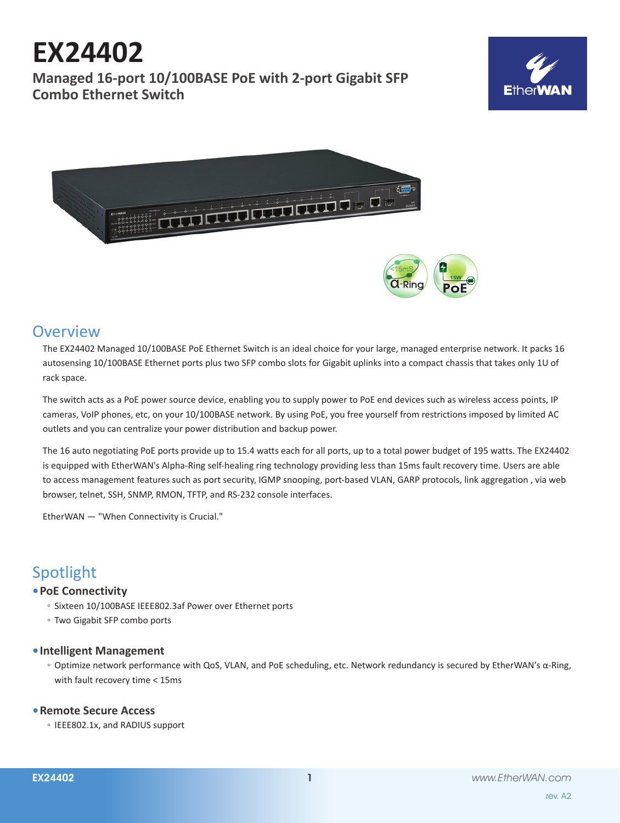#### Spotlight

#### **• PoE Connectivity**

- Sixteen 10/100BASE IEEE802.3af Power over Ethernet ports
- Two Gigabit SFP combo ports

#### **• Intelligent Management**

◦ Optimize network performance with QoS, VLAN, and PoE scheduling, etc. Network redundancy is secured by EtherWAN's α-Ring, with fault recovery time < 15ms

#### **• Remote Secure Access**

◦ IEEE802.1x, and RADIUS support



# **EX24402**

**Managed 16-port 10/100BASE PoE with 2-port Gigabit SFP Combo Ethernet Switch**



### **Overview**

The EX24402 Managed 10/100BASE PoE Ethernet Switch is an ideal choice for your large, managed enterprise network. It packs 16 autosensing 10/100BASE Ethernet ports plus two SFP combo slots for Gigabit uplinks into a compact chassis that takes only 1U of rack space.

The switch acts as a PoE power source device, enabling you to supply power to PoE end devices such as wireless access points, IP cameras, VoIP phones, etc, on your 10/100BASE network. By using PoE, you free yourself from restrictions imposed by limited AC outlets and you can centralize your power distribution and backup power.

The 16 auto negotiating PoE ports provide up to 15.4 watts each for all ports, up to a total power budget of 195 watts. The EX24402 is equipped with EtherWAN's Alpha-Ring self-healing ring technology providing less than 15ms fault recovery time. Users are able to access management features such as port security, IGMP snooping, port-based VLAN, GARP protocols, link aggregation , via web browser, telnet, SSH, SNMP, RMON, TFTP, and RS-232 console interfaces.

EtherWAN — "When Connectivity is Crucial."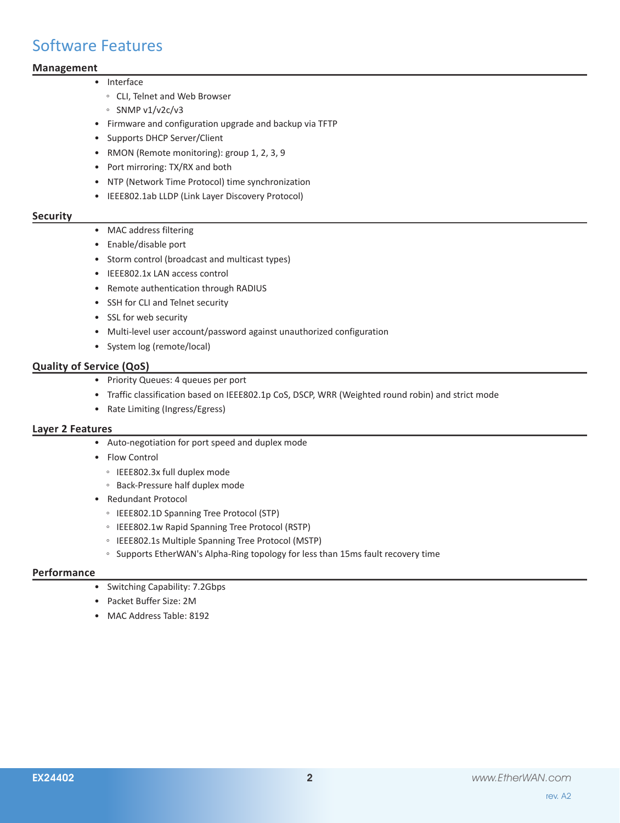### Software Features

#### **Management**

- Interface
	- CLI, Telnet and Web Browser
	- SNMP v1/v2c/v3
	- Firmware and configuration upgrade and backup via TFTP
	- Supports DHCP Server/Client
	- RMON (Remote monitoring): group 1, 2, 3, 9
	- Port mirroring: TX/RX and both
	- NTP (Network Time Protocol) time synchronization
	- IEEE802.1ab LLDP (Link Layer Discovery Protocol)

#### **Security**

- MAC address filtering
- Enable/disable port
- Storm control (broadcast and multicast types)
- IEEE802.1x LAN access control
- Remote authentication through RADIUS
- SSH for CLI and Telnet security
- SSL for web security
- Multi-level user account/password against unauthorized configuration
- System log (remote/local)

#### **Quality of Service (QoS)**

- Priority Queues: 4 queues per port
- Traffic classification based on IEEE802.1p CoS, DSCP, WRR (Weighted round robin) and strict mode
- Rate Limiting (Ingress/Egress)

#### **Layer 2 Features**

- Auto-negotiation for port speed and duplex mode
- Flow Control
	- IEEE802.3x full duplex mode
	- Back-Pressure half duplex mode
- Redundant Protocol
	- IEEE802.1D Spanning Tree Protocol (STP)
	- IEEE802.1w Rapid Spanning Tree Protocol (RSTP)
	- IEEE802.1s Multiple Spanning Tree Protocol (MSTP)
	- Supports EtherWAN's Alpha-Ring topology for less than 15ms fault recovery time

#### **Performance**

- Switching Capability: 7.2Gbps
- Packet Buffer Size: 2M
- MAC Address Table: 8192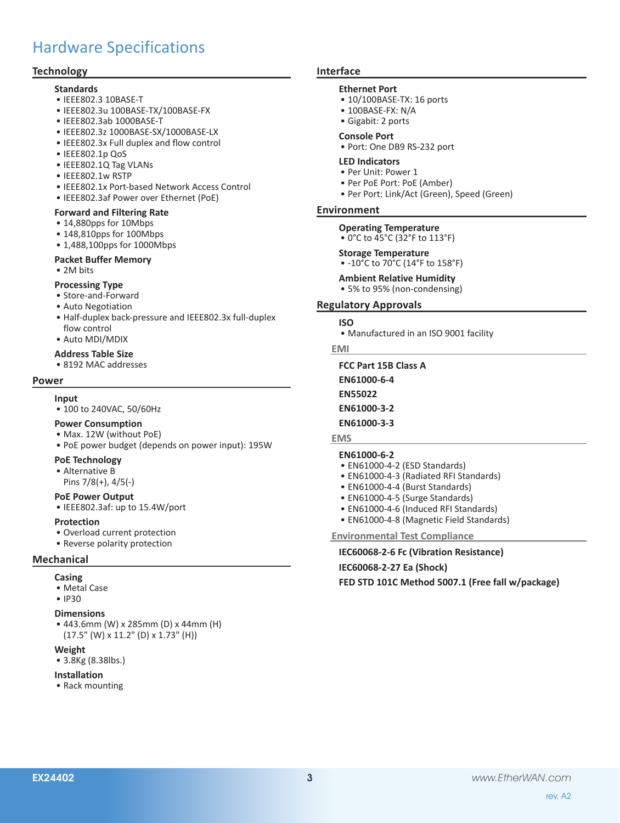### Hardware Specifications

#### **Technology**

#### **Standards**

- IEEE802.3 10BASE-T
- IEEE802.3u 100BASE-TX/100BASE-FX
- IEEE802.3ab 1000BASE-T
- IEEE802.3z 1000BASE-SX/1000BASE-LX
- IEEE802.3x Full duplex and flow control
- IEEE802.1p QoS
- IEEE802.1Q Tag VLANs
- IEEE802.1w RSTP
- IEEE802.1x Port-based Network Access Control
- IEEE802.3af Power over Ethernet (PoE)

#### **Forward and Filtering Rate**

- 14,880pps for 10Mbps
- 148,810pps for 100Mbps
- 1,488,100pps for 1000Mbps

#### **Packet Buffer Memory**

• 2M bits

#### **Processing Type**

- Store-and-Forward
- Auto Negotiation
- Half-duplex back-pressure and IEEE802.3x full-duplex flow control
- Auto MDI/MDIX

#### **Address Table Size**

• 8192 MAC addresses

#### **Power**

#### **Input**

• 100 to 240VAC, 50/60Hz

#### **Power Consumption**

- Max. 12W (without PoE)
- PoE power budget (depends on power input): 195W

#### **PoE Technology**

- Alternative B
- Pins 7/8(+), 4/5(-)

#### **PoE Power Output**

• IEEE802.3af: up to 15.4W/port

#### **Protection**

- Overload current protection
- Reverse polarity protection

#### **Mechanical**

- **Casing**
- Metal Case

#### • IP30

#### **Dimensions**

• 443.6mm (W) x 285mm (D) x 44mm (H) (17.5" (W) x 11.2" (D) x 1.73" (H))

#### **Weight**

• 3.8Kg (8.38lbs.)

#### **Installation**

• Rack mounting

#### **Interface**

#### **Ethernet Port**

- 10/100BASE-TX: 16 ports
- 100BASE-FX: N/A
- Gigabit: 2 ports
- **Console Port**
- Port: One DB9 RS-232 port

#### **LED Indicators**

- Per Unit: Power 1
- Per PoE Port: PoE (Amber)
- Per Port: Link/Act (Green), Speed (Green)

#### **Environment**

**Operating Temperature** • 0°C to 45°C (32°F to 113°F)

### **Storage Temperature**

- -10°C to 70°C (14°F to 158°F)
- 

**Ambient Relative Humidity** • 5% to 95% (non-condensing)

#### **Regulatory Approvals**

- **ISO**
	- Manufactured in an ISO 9001 facility

#### **EMI**

**FCC Part 15B Class A EN61000-6-4 EN55022 EN61000-3-2 EN61000-3-3**

#### **EMS**

#### **EN61000-6-2**

- EN61000-4-2 (ESD Standards)
- EN61000-4-3 (Radiated RFI Standards)
- EN61000-4-4 (Burst Standards)
- EN61000-4-5 (Surge Standards)
- EN61000-4-6 (Induced RFI Standards)
- EN61000-4-8 (Magnetic Field Standards)

**Environmental Test Compliance**

**IEC60068-2-6 Fc (Vibration Resistance)**

**IEC60068-2-27 Ea (Shock)**

**FED STD 101C Method 5007.1 (Free fall w/package)**